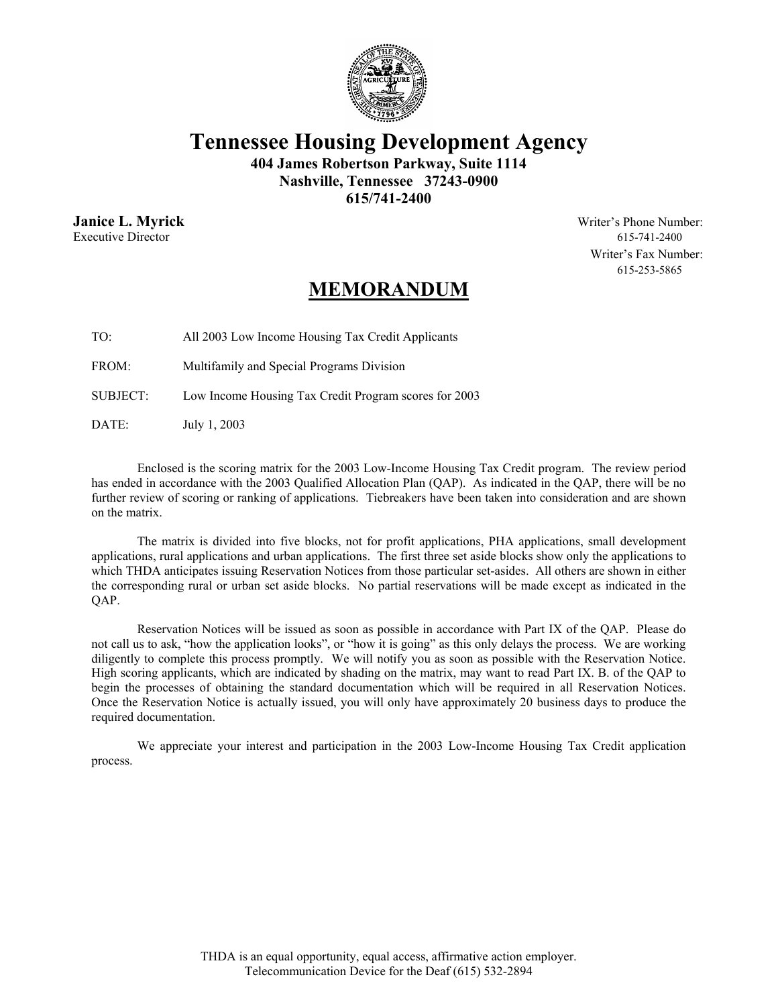

**Tennessee Housing Development Agency** 

**404 James Robertson Parkway, Suite 1114 Nashville, Tennessee 37243-0900 615/741-2400** 

Executive Director 615-741-2400

**Janice L. Myrick** Writer's Phone Number: Writer's Fax Number: 615-253-5865

## **MEMORANDUM**

TO: All 2003 Low Income Housing Tax Credit Applicants

FROM: Multifamily and Special Programs Division

SUBJECT: Low Income Housing Tax Credit Program scores for 2003

DATE: July 1, 2003

 Enclosed is the scoring matrix for the 2003 Low-Income Housing Tax Credit program. The review period has ended in accordance with the 2003 Qualified Allocation Plan (QAP). As indicated in the QAP, there will be no further review of scoring or ranking of applications. Tiebreakers have been taken into consideration and are shown on the matrix.

 The matrix is divided into five blocks, not for profit applications, PHA applications, small development applications, rural applications and urban applications. The first three set aside blocks show only the applications to which THDA anticipates issuing Reservation Notices from those particular set-asides. All others are shown in either the corresponding rural or urban set aside blocks. No partial reservations will be made except as indicated in the QAP.

 Reservation Notices will be issued as soon as possible in accordance with Part IX of the QAP. Please do not call us to ask, "how the application looks", or "how it is going" as this only delays the process. We are working diligently to complete this process promptly. We will notify you as soon as possible with the Reservation Notice. High scoring applicants, which are indicated by shading on the matrix, may want to read Part IX. B. of the QAP to begin the processes of obtaining the standard documentation which will be required in all Reservation Notices. Once the Reservation Notice is actually issued, you will only have approximately 20 business days to produce the required documentation.

 We appreciate your interest and participation in the 2003 Low-Income Housing Tax Credit application process.